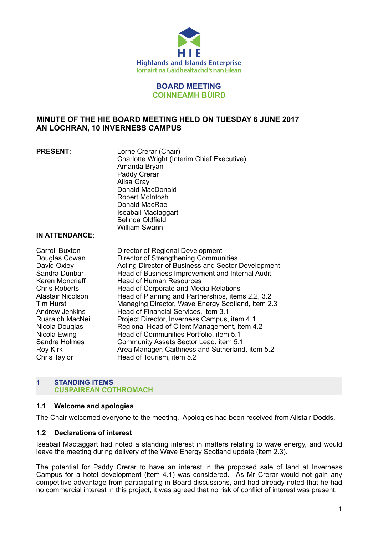

## **BOARD MEETING COINNEAMH BÙIRD**

# **MINUTE OF THE HIE BOARD MEETING HELD ON TUESDAY 6 JUNE 2017 AN LÒCHRAN, 10 INVERNESS CAMPUS**

**PRESENT**: Lorne Crerar (Chair) Charlotte Wright (Interim Chief Executive) Amanda Bryan Paddy Crerar Ailsa Gray Donald MacDonald Robert McIntosh Donald MacRae Iseabail Mactaggart Belinda Oldfield William Swann

#### **IN ATTENDANCE**:

Carroll Buxton Director of Regional Development Douglas Cowan Director of Strengthening Communities David Oxley **Acting Director of Business and Sector Development** Sandra Dunbar **Head of Business Improvement and Internal Audit** Karen Moncrieff Head of Human Resources Chris Roberts **Head of Corporate and Media Relations** Alastair Nicolson Head of Planning and Partnerships, items 2.2, 3.2 Tim Hurst Managing Director, Wave Energy Scotland, item 2.3 Andrew Jenkins Head of Financial Services, item 3.1 Ruaraidh MacNeil Project Director, Inverness Campus, item 4.1 Nicola Douglas Regional Head of Client Management, item 4.2 Nicola Ewing **Head of Communities Portfolio**, item 5.1 Sandra Holmes Community Assets Sector Lead, item 5.1 Roy Kirk Area Manager, Caithness and Sutherland, item 5.2 Chris Taylor **Head of Tourism, item 5.2** 

## **1 STANDING ITEMS CUSPAIREAN COTHROMACH**

## **1.1 Welcome and apologies**

The Chair welcomed everyone to the meeting. Apologies had been received from Alistair Dodds.

## **1.2 Declarations of interest**

Iseabail Mactaggart had noted a standing interest in matters relating to wave energy, and would leave the meeting during delivery of the Wave Energy Scotland update (item 2.3).

The potential for Paddy Crerar to have an interest in the proposed sale of land at Inverness Campus for a hotel development (item 4.1) was considered. As Mr Crerar would not gain any competitive advantage from participating in Board discussions, and had already noted that he had no commercial interest in this project, it was agreed that no risk of conflict of interest was present.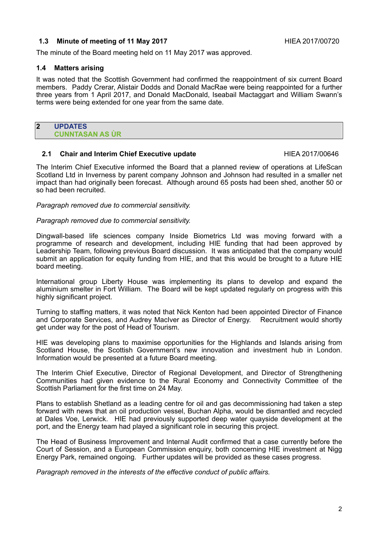## **1.3 Minute of meeting of 11 May 2017 HIEA 2017/00720 HIEA 2017/00720**

The minute of the Board meeting held on 11 May 2017 was approved.

## **1.4 Matters arising**

It was noted that the Scottish Government had confirmed the reappointment of six current Board members. Paddy Crerar, Alistair Dodds and Donald MacRae were being reappointed for a further three years from 1 April 2017, and Donald MacDonald, Iseabail Mactaggart and William Swann's terms were being extended for one year from the same date.

#### **2 UPDATES CUNNTASAN AS ÙR**

## **2.1 Chair and Interim Chief Executive update HIEA 2017/00646**

The Interim Chief Executive informed the Board that a planned review of operations at LifeScan Scotland Ltd in Inverness by parent company Johnson and Johnson had resulted in a smaller net impact than had originally been forecast. Although around 65 posts had been shed, another 50 or so had been recruited.

*Paragraph removed due to commercial sensitivity.* 

#### *Paragraph removed due to commercial sensitivity.*

Dingwall-based life sciences company Inside Biometrics Ltd was moving forward with a programme of research and development, including HIE funding that had been approved by Leadership Team, following previous Board discussion. It was anticipated that the company would submit an application for equity funding from HIE, and that this would be brought to a future HIE board meeting.

International group Liberty House was implementing its plans to develop and expand the aluminium smelter in Fort William. The Board will be kept updated regularly on progress with this highly significant project.

Turning to staffing matters, it was noted that Nick Kenton had been appointed Director of Finance and Corporate Services, and Audrey MacIver as Director of Energy. Recruitment would shortly get under way for the post of Head of Tourism.

HIE was developing plans to maximise opportunities for the Highlands and Islands arising from Scotland House, the Scottish Government's new innovation and investment hub in London. Information would be presented at a future Board meeting.

The Interim Chief Executive, Director of Regional Development, and Director of Strengthening Communities had given evidence to the Rural Economy and Connectivity Committee of the Scottish Parliament for the first time on 24 May.

Plans to establish Shetland as a leading centre for oil and gas decommissioning had taken a step forward with news that an oil production vessel, Buchan Alpha, would be dismantled and recycled at Dales Voe, Lerwick. HIE had previously supported deep water quayside development at the port, and the Energy team had played a significant role in securing this project.

The Head of Business Improvement and Internal Audit confirmed that a case currently before the Court of Session, and a European Commission enquiry, both concerning HIE investment at Nigg Energy Park, remained ongoing. Further updates will be provided as these cases progress.

*Paragraph removed in the interests of the effective conduct of public affairs.*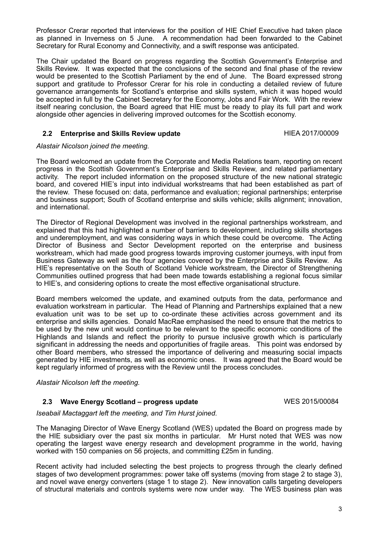Professor Crerar reported that interviews for the position of HIE Chief Executive had taken place as planned in Inverness on 5 June. A recommendation had been forwarded to the Cabinet Secretary for Rural Economy and Connectivity, and a swift response was anticipated.

The Chair updated the Board on progress regarding the Scottish Government's Enterprise and Skills Review. It was expected that the conclusions of the second and final phase of the review would be presented to the Scottish Parliament by the end of June. The Board expressed strong support and gratitude to Professor Crerar for his role in conducting a detailed review of future governance arrangements for Scotland's enterprise and skills system, which it was hoped would be accepted in full by the Cabinet Secretary for the Economy, Jobs and Fair Work. With the review itself nearing conclusion, the Board agreed that HIE must be ready to play its full part and work alongside other agencies in delivering improved outcomes for the Scottish economy.

## **2.2 Enterprise and Skills Review update All Accords** HIEA 2017/00009

#### *Alastair Nicolson joined the meeting.*

The Board welcomed an update from the Corporate and Media Relations team, reporting on recent progress in the Scottish Government's Enterprise and Skills Review, and related parliamentary activity. The report included information on the proposed structure of the new national strategic board, and covered HIE's input into individual workstreams that had been established as part of the review. These focused on: data, performance and evaluation; regional partnerships; enterprise and business support; South of Scotland enterprise and skills vehicle; skills alignment; innovation, and international.

The Director of Regional Development was involved in the regional partnerships workstream, and explained that this had highlighted a number of barriers to development, including skills shortages and underemployment, and was considering ways in which these could be overcome. The Acting Director of Business and Sector Development reported on the enterprise and business workstream, which had made good progress towards improving customer journeys, with input from Business Gateway as well as the four agencies covered by the Enterprise and Skills Review. As HIE's representative on the South of Scotland Vehicle workstream, the Director of Strengthening Communities outlined progress that had been made towards establishing a regional focus similar to HIE's, and considering options to create the most effective organisational structure.

Board members welcomed the update, and examined outputs from the data, performance and evaluation workstream in particular. The Head of Planning and Partnerships explained that a new evaluation unit was to be set up to co-ordinate these activities across government and its enterprise and skills agencies. Donald MacRae emphasised the need to ensure that the metrics to be used by the new unit would continue to be relevant to the specific economic conditions of the Highlands and Islands and reflect the priority to pursue inclusive growth which is particularly significant in addressing the needs and opportunities of fragile areas. This point was endorsed by other Board members, who stressed the importance of delivering and measuring social impacts generated by HIE investments, as well as economic ones. It was agreed that the Board would be kept regularly informed of progress with the Review until the process concludes.

*Alastair Nicolson left the meeting.* 

## **2.3 Wave Energy Scotland – progress update** WES 2015/00084

*Iseabail Mactaggart left the meeting, and Tim Hurst joined.* 

The Managing Director of Wave Energy Scotland (WES) updated the Board on progress made by the HIE subsidiary over the past six months in particular. Mr Hurst noted that WES was now operating the largest wave energy research and development programme in the world, having worked with 150 companies on 56 projects, and committing £25m in funding.

Recent activity had included selecting the best projects to progress through the clearly defined stages of two development programmes: power take off systems (moving from stage 2 to stage 3), and novel wave energy converters (stage 1 to stage 2). New innovation calls targeting developers of structural materials and controls systems were now under way. The WES business plan was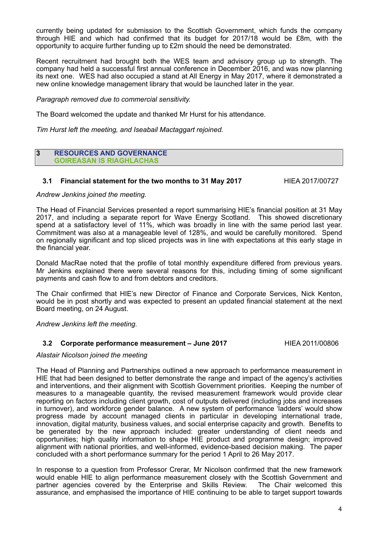currently being updated for submission to the Scottish Government, which funds the company through HIE and which had confirmed that its budget for 2017/18 would be £8m, with the opportunity to acquire further funding up to £2m should the need be demonstrated.

Recent recruitment had brought both the WES team and advisory group up to strength. The company had held a successful first annual conference in December 2016, and was now planning its next one. WES had also occupied a stand at All Energy in May 2017, where it demonstrated a new online knowledge management library that would be launched later in the year.

*Paragraph removed due to commercial sensitivity.* 

The Board welcomed the update and thanked Mr Hurst for his attendance.

*Tim Hurst left the meeting, and Iseabail Mactaggart rejoined.* 

#### **3 RESOURCES AND GOVERNANCE GOIREASAN IS RIAGHLACHAS**

## **3.1 Financial statement for the two months to 31 May 2017** HIEA 2017/00727

#### *Andrew Jenkins joined the meeting.*

The Head of Financial Services presented a report summarising HIE's financial position at 31 May 2017, and including a separate report for Wave Energy Scotland. This showed discretionary spend at a satisfactory level of 11%, which was broadly in line with the same period last year. Commitment was also at a manageable level of 128%, and would be carefully monitored. Spend on regionally significant and top sliced projects was in line with expectations at this early stage in the financial year.

Donald MacRae noted that the profile of total monthly expenditure differed from previous years. Mr Jenkins explained there were several reasons for this, including timing of some significant payments and cash flow to and from debtors and creditors.

The Chair confirmed that HIE's new Director of Finance and Corporate Services, Nick Kenton, would be in post shortly and was expected to present an updated financial statement at the next Board meeting, on 24 August.

*Andrew Jenkins left the meeting.* 

#### **3.2 Corporate performance measurement – June 2017** HIEA 2011/00806

#### *Alastair Nicolson joined the meeting*

The Head of Planning and Partnerships outlined a new approach to performance measurement in HIE that had been designed to better demonstrate the range and impact of the agency's activities and interventions, and their alignment with Scottish Government priorities. Keeping the number of measures to a manageable quantity, the revised measurement framework would provide clear reporting on factors including client growth, cost of outputs delivered (including jobs and increases in turnover), and workforce gender balance. A new system of performance 'ladders' would show progress made by account managed clients in particular in developing international trade, innovation, digital maturity, business values, and social enterprise capacity and growth. Benefits to be generated by the new approach included: greater understanding of client needs and opportunities; high quality information to shape HIE product and programme design; improved alignment with national priorities, and well-informed, evidence-based decision making. The paper concluded with a short performance summary for the period 1 April to 26 May 2017.

In response to a question from Professor Crerar, Mr Nicolson confirmed that the new framework would enable HIE to align performance measurement closely with the Scottish Government and partner agencies covered by the Enterprise and Skills Review. The Chair welcomed this assurance, and emphasised the importance of HIE continuing to be able to target support towards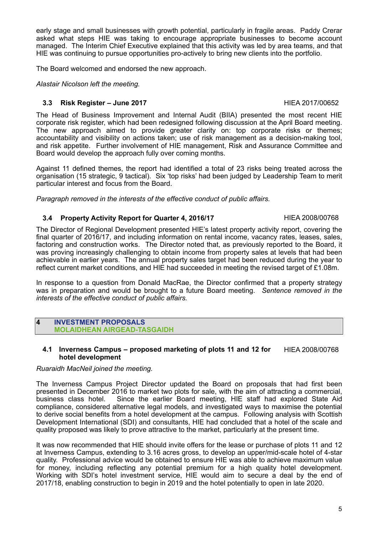early stage and small businesses with growth potential, particularly in fragile areas. Paddy Crerar asked what steps HIE was taking to encourage appropriate businesses to become account managed. The Interim Chief Executive explained that this activity was led by area teams, and that HIE was continuing to pursue opportunities pro-actively to bring new clients into the portfolio.

The Board welcomed and endorsed the new approach.

*Alastair Nicolson left the meeting.* 

## **3.3 Risk Register – June 2017 HIEA 2017/00652**

The Head of Business Improvement and Internal Audit (BIIA) presented the most recent HIE corporate risk register, which had been redesigned following discussion at the April Board meeting. The new approach aimed to provide greater clarity on: top corporate risks or themes; accountability and visibility on actions taken; use of risk management as a decision-making tool, and risk appetite. Further involvement of HIE management, Risk and Assurance Committee and Board would develop the approach fully over coming months.

Against 11 defined themes, the report had identified a total of 23 risks being treated across the organisation (15 strategic, 9 tactical). Six 'top risks' had been judged by Leadership Team to merit particular interest and focus from the Board.

*Paragraph removed in the interests of the effective conduct of public affairs.* 

## **3.4 Property Activity Report for Quarter 4, 2016/17** HIEA 2008/00768

The Director of Regional Development presented HIE's latest property activity report, covering the final quarter of 2016/17, and including information on rental income, vacancy rates, leases, sales, factoring and construction works. The Director noted that, as previously reported to the Board, it was proving increasingly challenging to obtain income from property sales at levels that had been achievable in earlier years. The annual property sales target had been reduced during the year to reflect current market conditions, and HIE had succeeded in meeting the revised target of £1.08m.

In response to a question from Donald MacRae, the Director confirmed that a property strategy was in preparation and would be brought to a future Board meeting. *Sentence removed in the interests of the effective conduct of public affairs.* 

**4 INVESTMENT PROPOSALS MOLAIDHEAN AIRGEAD-TASGAIDH** 

**4.1 Inverness Campus – proposed marketing of plots 11 and 12 for hotel development** HIEA 2008/00768

## *Ruaraidh MacNeil joined the meeting.*

The Inverness Campus Project Director updated the Board on proposals that had first been presented in December 2016 to market two plots for sale, with the aim of attracting a commercial, business class hotel. Since the earlier Board meeting, HIE staff had explored State Aid compliance, considered alternative legal models, and investigated ways to maximise the potential to derive social benefits from a hotel development at the campus. Following analysis with Scottish Development International (SDI) and consultants, HIE had concluded that a hotel of the scale and quality proposed was likely to prove attractive to the market, particularly at the present time.

It was now recommended that HIE should invite offers for the lease or purchase of plots 11 and 12 at Inverness Campus, extending to 3.16 acres gross, to develop an upper/mid-scale hotel of 4-star quality. Professional advice would be obtained to ensure HIE was able to achieve maximum value for money, including reflecting any potential premium for a high quality hotel development. Working with SDI's hotel investment service, HIE would aim to secure a deal by the end of 2017/18, enabling construction to begin in 2019 and the hotel potentially to open in late 2020.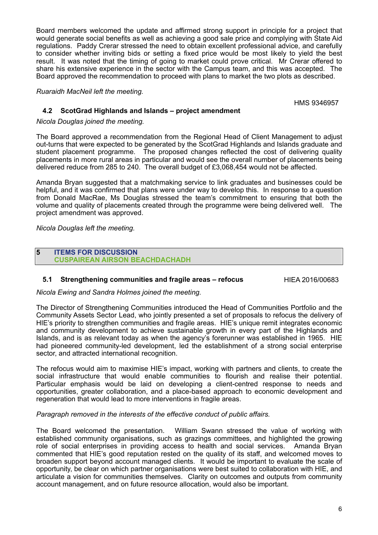Board members welcomed the update and affirmed strong support in principle for a project that would generate social benefits as well as achieving a good sale price and complying with State Aid regulations. Paddy Crerar stressed the need to obtain excellent professional advice, and carefully to consider whether inviting bids or setting a fixed price would be most likely to yield the best result. It was noted that the timing of going to market could prove critical. Mr Crerar offered to share his extensive experience in the sector with the Campus team, and this was accepted. The Board approved the recommendation to proceed with plans to market the two plots as described.

*Ruaraidh MacNeil left the meeting.* 

HMS 9346957

## **4.2 ScotGrad Highlands and Islands – project amendment**

*Nicola Douglas joined the meeting.* 

The Board approved a recommendation from the Regional Head of Client Management to adjust out-turns that were expected to be generated by the ScotGrad Highlands and Islands graduate and student placement programme. The proposed changes reflected the cost of delivering quality placements in more rural areas in particular and would see the overall number of placements being delivered reduce from 285 to 240. The overall budget of £3,068,454 would not be affected.

Amanda Bryan suggested that a matchmaking service to link graduates and businesses could be helpful, and it was confirmed that plans were under way to develop this. In response to a question from Donald MacRae, Ms Douglas stressed the team's commitment to ensuring that both the volume and quality of placements created through the programme were being delivered well. The project amendment was approved.

*Nicola Douglas left the meeting.* 

#### **5 ITEMS FOR DISCUSSION CUSPAIREAN AIRSON BEACHDACHADH**

#### **5.1 Strengthening communities and fragile areas – refocus FILEA 2016/00683**

*Nicola Ewing and Sandra Holmes joined the meeting.* 

The Director of Strengthening Communities introduced the Head of Communities Portfolio and the Community Assets Sector Lead, who jointly presented a set of proposals to refocus the delivery of HIE's priority to strengthen communities and fragile areas. HIE's unique remit integrates economic and community development to achieve sustainable growth in every part of the Highlands and Islands, and is as relevant today as when the agency's forerunner was established in 1965. HIE had pioneered community-led development, led the establishment of a strong social enterprise sector, and attracted international recognition.

The refocus would aim to maximise HIE's impact, working with partners and clients, to create the social infrastructure that would enable communities to flourish and realise their potential. Particular emphasis would be laid on developing a client-centred response to needs and opportunities, greater collaboration, and a place-based approach to economic development and regeneration that would lead to more interventions in fragile areas.

*Paragraph removed in the interests of the effective conduct of public affairs.* 

The Board welcomed the presentation. William Swann stressed the value of working with established community organisations, such as grazings committees, and highlighted the growing role of social enterprises in providing access to health and social services. Amanda Bryan commented that HIE's good reputation rested on the quality of its staff, and welcomed moves to broaden support beyond account managed clients. It would be important to evaluate the scale of opportunity, be clear on which partner organisations were best suited to collaboration with HIE, and articulate a vision for communities themselves. Clarity on outcomes and outputs from community account management, and on future resource allocation, would also be important.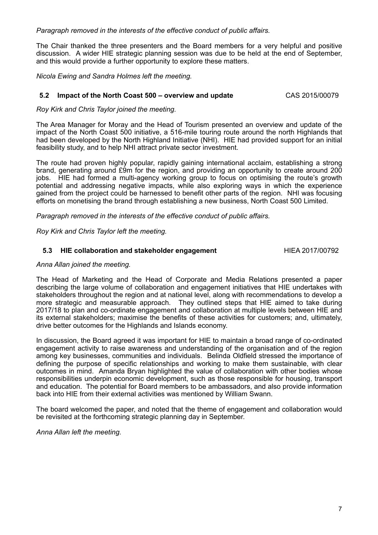*Paragraph removed in the interests of the effective conduct of public affairs.* 

The Chair thanked the three presenters and the Board members for a very helpful and positive discussion. A wider HIE strategic planning session was due to be held at the end of September, and this would provide a further opportunity to explore these matters.

*Nicola Ewing and Sandra Holmes left the meeting.* 

#### **5.2 Impact of the North Coast 500 – overview and update** CAS 2015/00079

*Roy Kirk and Chris Taylor joined the meeting.* 

The Area Manager for Moray and the Head of Tourism presented an overview and update of the impact of the North Coast 500 initiative, a 516-mile touring route around the north Highlands that had been developed by the North Highland Initiative (NHI). HIE had provided support for an initial feasibility study, and to help NHI attract private sector investment.

The route had proven highly popular, rapidly gaining international acclaim, establishing a strong brand, generating around £9m for the region, and providing an opportunity to create around 200 jobs. HIE had formed a multi-agency working group to focus on optimising the route's growth potential and addressing negative impacts, while also exploring ways in which the experience gained from the project could be harnessed to benefit other parts of the region. NHI was focusing efforts on monetising the brand through establishing a new business, North Coast 500 Limited.

*Paragraph removed in the interests of the effective conduct of public affairs.* 

*Roy Kirk and Chris Taylor left the meeting.* 

## **5.3 HIE collaboration and stakeholder engagement FILEA 2017/00792**

#### *Anna Allan joined the meeting.*

The Head of Marketing and the Head of Corporate and Media Relations presented a paper describing the large volume of collaboration and engagement initiatives that HIE undertakes with stakeholders throughout the region and at national level, along with recommendations to develop a more strategic and measurable approach. They outlined steps that HIE aimed to take during 2017/18 to plan and co-ordinate engagement and collaboration at multiple levels between HIE and its external stakeholders; maximise the benefits of these activities for customers; and, ultimately, drive better outcomes for the Highlands and Islands economy.

In discussion, the Board agreed it was important for HIE to maintain a broad range of co-ordinated engagement activity to raise awareness and understanding of the organisation and of the region among key businesses, communities and individuals. Belinda Oldfield stressed the importance of defining the purpose of specific relationships and working to make them sustainable, with clear outcomes in mind. Amanda Bryan highlighted the value of collaboration with other bodies whose responsibilities underpin economic development, such as those responsible for housing, transport and education. The potential for Board members to be ambassadors, and also provide information back into HIE from their external activities was mentioned by William Swann.

The board welcomed the paper, and noted that the theme of engagement and collaboration would be revisited at the forthcoming strategic planning day in September.

*Anna Allan left the meeting.*